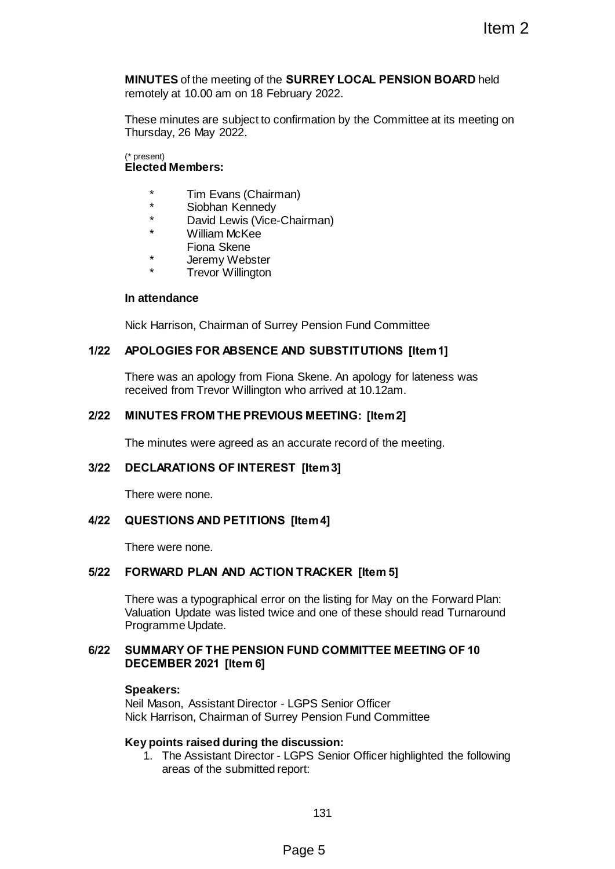**MINUTES** of the meeting of the **SURREY LOCAL PENSION BOARD** held remotely at 10.00 am on 18 February 2022.

These minutes are subject to confirmation by the Committee at its meeting on Thursday, 26 May 2022.

(\* present) **Elected Members:**

- \* Tim Evans (Chairman)
- \* Siobhan Kennedy<br>\* David Lawis (View
- \* David Lewis (Vice-Chairman)
	- William McKee
	- Fiona Skene
- \* Jeremy Webster
- Trevor Willington

#### **In attendance**

Nick Harrison, Chairman of Surrey Pension Fund Committee

### **1/22 APOLOGIES FOR ABSENCE AND SUBSTITUTIONS [Item 1]**

There was an apology from Fiona Skene. An apology for lateness was received from Trevor Willington who arrived at 10.12am.

### **2/22 MINUTES FROM THE PREVIOUS MEETING: [Item 2]**

The minutes were agreed as an accurate record of the meeting.

### **3/22 DECLARATIONS OF INTEREST [Item 3]**

There were none.

#### **4/22 QUESTIONS AND PETITIONS [Item 4]**

There were none.

### **5/22 FORWARD PLAN AND ACTION TRACKER [Item 5]**

There was a typographical error on the listing for May on the Forward Plan: Valuation Update was listed twice and one of these should read Turnaround Programme Update. Item 2<br>
SURREY LOCAL PENSION BOARD held<br>
protony 2022.<br>
Summaring the Committee at its meeting on<br>
an)<br>
an<br>
an<br>
an<br>
an<br>
an<br>
an<br>
an<br>
protony SUBSTITUTIONS [Item 1]<br>
a Skene. An apology for lateness was<br>
who arrived at 10.12

### **6/22 SUMMARY OF THE PENSION FUND COMMITTEE MEETING OF 10 DECEMBER 2021 [Item 6]**

#### **Speakers:**

Neil Mason, Assistant Director - LGPS Senior Officer Nick Harrison, Chairman of Surrey Pension Fund Committee

#### **Key points raised during the discussion:**

1. The Assistant Director - LGPS Senior Officer highlighted the following areas of the submitted report: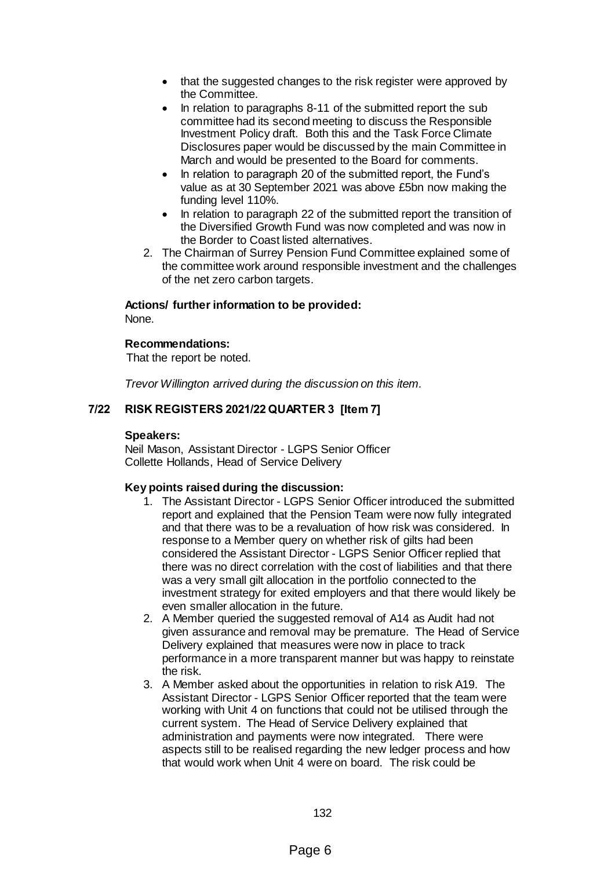- that the suggested changes to the risk register were approved by the Committee.
- In relation to paragraphs 8-11 of the submitted report the subcommittee had its second meeting to discuss the Responsible Investment Policy draft. Both this and the Task Force Climate Disclosures paper would be discussed by the main Committee in March and would be presented to the Board for comments.
- In relation to paragraph 20 of the submitted report, the Fund's value as at 30 September 2021 was above £5bn now making the funding level 110%.
- In relation to paragraph 22 of the submitted report the transition of the Diversified Growth Fund was now completed and was now in the Border to Coast listed alternatives.
- 2. The Chairman of Surrey Pension Fund Committee explained some of the committee work around responsible investment and the challenges of the net zero carbon targets.

# **Actions/ further information to be provided:**

None.

## **Recommendations:**

That the report be noted.

*Trevor Willington arrived during the discussion on this item.*

# **7/22 RISK REGISTERS 2021/22 QUARTER 3 [Item 7]**

### **Speakers:**

Neil Mason, Assistant Director - LGPS Senior Officer Collette Hollands, Head of Service Delivery

### **Key points raised during the discussion:**

- 1. The Assistant Director LGPS Senior Officer introduced the submitted report and explained that the Pension Team were now fully integrated and that there was to be a revaluation of how risk was considered. In response to a Member query on whether risk of gilts had been considered the Assistant Director - LGPS Senior Officer replied that there was no direct correlation with the cost of liabilities and that there was a very small gilt allocation in the portfolio connected to the investment strategy for exited employers and that there would likely be even smaller allocation in the future.
- 2. A Member queried the suggested removal of A14 as Audit had not given assurance and removal may be premature. The Head of Service Delivery explained that measures were now in place to track performance in a more transparent manner but was happy to reinstate the risk.
- 3. A Member asked about the opportunities in relation to risk A19. The Assistant Director - LGPS Senior Officer reported that the team were working with Unit 4 on functions that could not be utilised through the current system. The Head of Service Delivery explained that administration and payments were now integrated. There were aspects still to be realised regarding the new ledger process and how that would work when Unit 4 were on board. The risk could be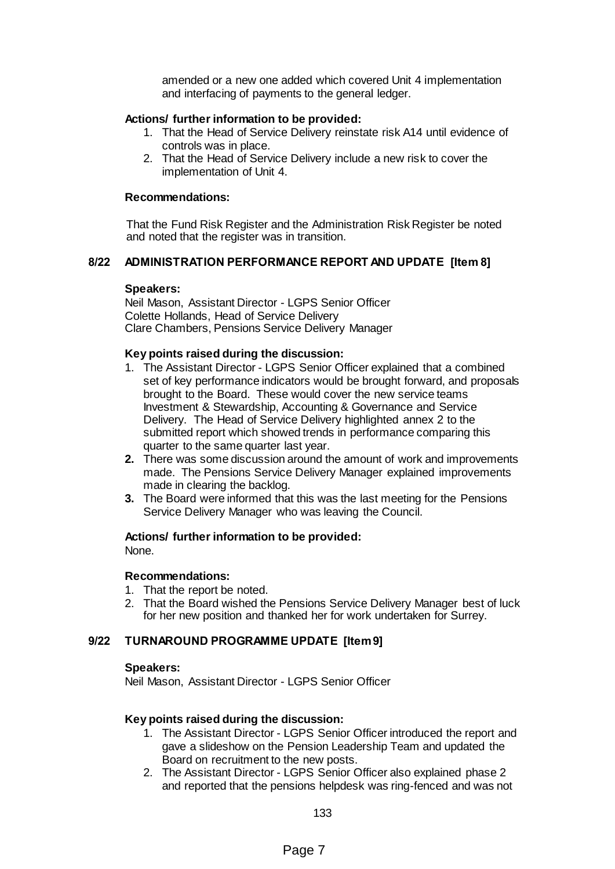amended or a new one added which covered Unit 4 implementation and interfacing of payments to the general ledger.

### **Actions/ further information to be provided:**

- 1. That the Head of Service Delivery reinstate risk A14 until evidence of controls was in place.
- 2. That the Head of Service Delivery include a new risk to cover the implementation of Unit 4.

### **Recommendations:**

That the Fund Risk Register and the Administration Risk Register be noted and noted that the register was in transition.

### **8/22 ADMINISTRATION PERFORMANCE REPORT AND UPDATE [Item 8]**

#### **Speakers:**

Neil Mason, Assistant Director - LGPS Senior Officer Colette Hollands, Head of Service Delivery Clare Chambers, Pensions Service Delivery Manager

### **Key points raised during the discussion:**

- 1. The Assistant Director LGPS Senior Officer explained that a combined set of key performance indicators would be brought forward, and proposals brought to the Board. These would cover the new service teams Investment & Stewardship, Accounting & Governance and Service Delivery. The Head of Service Delivery highlighted annex 2 to the submitted report which showed trends in performance comparing this quarter to the same quarter last year.
- **2.** There was some discussion around the amount of work and improvements made. The Pensions Service Delivery Manager explained improvements made in clearing the backlog.
- **3.** The Board were informed that this was the last meeting for the Pensions Service Delivery Manager who was leaving the Council.

#### **Actions/ further information to be provided:**

None.

### **Recommendations:**

- 1. That the report be noted.
- 2. That the Board wished the Pensions Service Delivery Manager best of luck for her new position and thanked her for work undertaken for Surrey.

### **9/22 TURNAROUND PROGRAMME UPDATE [Item 9]**

### **Speakers:**

Neil Mason, Assistant Director - LGPS Senior Officer

### **Key points raised during the discussion:**

- 1. The Assistant Director LGPS Senior Officer introduced the report and gave a slideshow on the Pension Leadership Team and updated the Board on recruitment to the new posts.
- 2. The Assistant Director LGPS Senior Officer also explained phase 2 and reported that the pensions helpdesk was ring-fenced and was not